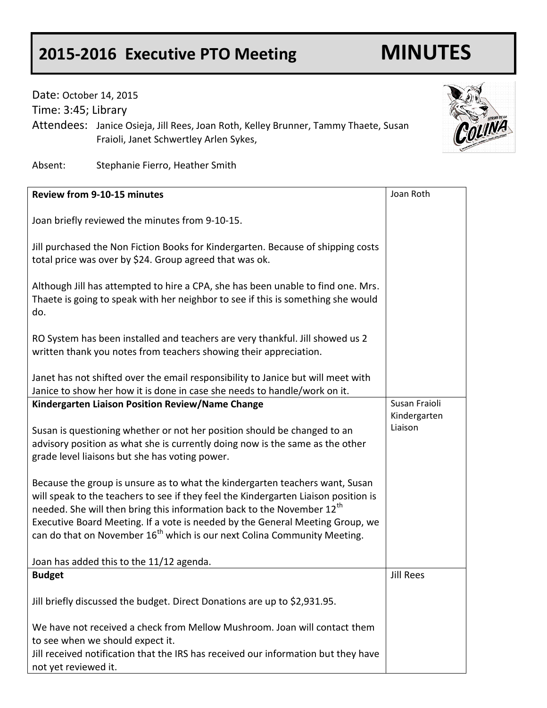## **2015-2016 Executive PTO Meeting MINUTES**

## Date: October 14, 2015

Time: 3:45; Library

Attendees: Janice Osieja, Jill Rees, Joan Roth, Kelley Brunner, Tammy Thaete, Susan Fraioli, Janet Schwertley Arlen Sykes,

Absent: Stephanie Fierro, Heather Smith

| <b>Review from 9-10-15 minutes</b>                                                                                                                                                                                                                                                                                                                                                                                                 | Joan Roth               |
|------------------------------------------------------------------------------------------------------------------------------------------------------------------------------------------------------------------------------------------------------------------------------------------------------------------------------------------------------------------------------------------------------------------------------------|-------------------------|
| Joan briefly reviewed the minutes from 9-10-15.                                                                                                                                                                                                                                                                                                                                                                                    |                         |
| Jill purchased the Non Fiction Books for Kindergarten. Because of shipping costs<br>total price was over by \$24. Group agreed that was ok.                                                                                                                                                                                                                                                                                        |                         |
| Although Jill has attempted to hire a CPA, she has been unable to find one. Mrs.<br>Thaete is going to speak with her neighbor to see if this is something she would<br>do.                                                                                                                                                                                                                                                        |                         |
| RO System has been installed and teachers are very thankful. Jill showed us 2<br>written thank you notes from teachers showing their appreciation.                                                                                                                                                                                                                                                                                 |                         |
| Janet has not shifted over the email responsibility to Janice but will meet with<br>Janice to show her how it is done in case she needs to handle/work on it.                                                                                                                                                                                                                                                                      |                         |
| Kindergarten Liaison Position Review/Name Change                                                                                                                                                                                                                                                                                                                                                                                   | Susan Fraioli           |
| Susan is questioning whether or not her position should be changed to an<br>advisory position as what she is currently doing now is the same as the other<br>grade level liaisons but she has voting power.                                                                                                                                                                                                                        | Kindergarten<br>Liaison |
| Because the group is unsure as to what the kindergarten teachers want, Susan<br>will speak to the teachers to see if they feel the Kindergarten Liaison position is<br>needed. She will then bring this information back to the November 12 <sup>th</sup><br>Executive Board Meeting. If a vote is needed by the General Meeting Group, we<br>can do that on November 16 <sup>th</sup> which is our next Colina Community Meeting. |                         |
| Joan has added this to the 11/12 agenda.                                                                                                                                                                                                                                                                                                                                                                                           |                         |
| <b>Budget</b>                                                                                                                                                                                                                                                                                                                                                                                                                      | <b>Jill Rees</b>        |
| Jill briefly discussed the budget. Direct Donations are up to \$2,931.95.                                                                                                                                                                                                                                                                                                                                                          |                         |
| We have not received a check from Mellow Mushroom. Joan will contact them<br>to see when we should expect it.<br>Jill received notification that the IRS has received our information but they have                                                                                                                                                                                                                                |                         |
| not yet reviewed it.                                                                                                                                                                                                                                                                                                                                                                                                               |                         |

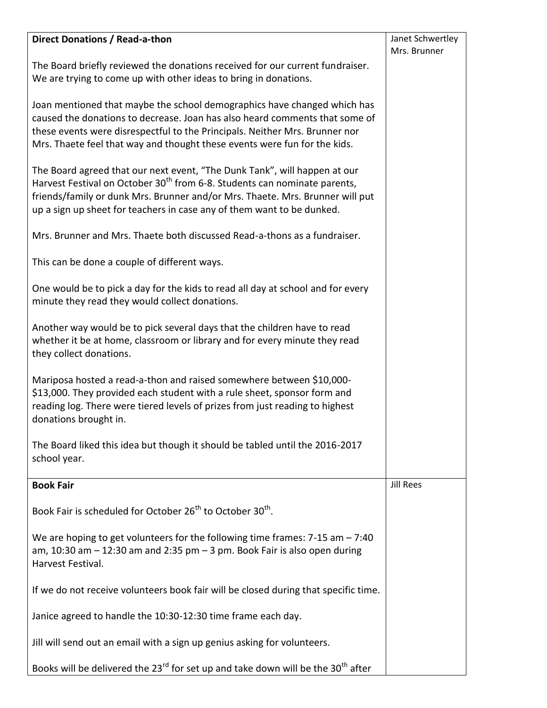| Direct Donations / Read-a-thon                                                                                                                                                                                                                                                                                                | Janet Schwertley |
|-------------------------------------------------------------------------------------------------------------------------------------------------------------------------------------------------------------------------------------------------------------------------------------------------------------------------------|------------------|
|                                                                                                                                                                                                                                                                                                                               | Mrs. Brunner     |
| The Board briefly reviewed the donations received for our current fundraiser.<br>We are trying to come up with other ideas to bring in donations.                                                                                                                                                                             |                  |
| Joan mentioned that maybe the school demographics have changed which has<br>caused the donations to decrease. Joan has also heard comments that some of<br>these events were disrespectful to the Principals. Neither Mrs. Brunner nor<br>Mrs. Thaete feel that way and thought these events were fun for the kids.           |                  |
| The Board agreed that our next event, "The Dunk Tank", will happen at our<br>Harvest Festival on October 30 <sup>th</sup> from 6-8. Students can nominate parents,<br>friends/family or dunk Mrs. Brunner and/or Mrs. Thaete. Mrs. Brunner will put<br>up a sign up sheet for teachers in case any of them want to be dunked. |                  |
| Mrs. Brunner and Mrs. Thaete both discussed Read-a-thons as a fundraiser.                                                                                                                                                                                                                                                     |                  |
| This can be done a couple of different ways.                                                                                                                                                                                                                                                                                  |                  |
| One would be to pick a day for the kids to read all day at school and for every<br>minute they read they would collect donations.                                                                                                                                                                                             |                  |
| Another way would be to pick several days that the children have to read<br>whether it be at home, classroom or library and for every minute they read<br>they collect donations.                                                                                                                                             |                  |
| Mariposa hosted a read-a-thon and raised somewhere between \$10,000-<br>\$13,000. They provided each student with a rule sheet, sponsor form and<br>reading log. There were tiered levels of prizes from just reading to highest<br>donations brought in.                                                                     |                  |
| The Board liked this idea but though it should be tabled until the 2016-2017<br>school year.                                                                                                                                                                                                                                  |                  |
| <b>Book Fair</b>                                                                                                                                                                                                                                                                                                              | <b>Jill Rees</b> |
| Book Fair is scheduled for October 26 <sup>th</sup> to October 30 <sup>th</sup> .                                                                                                                                                                                                                                             |                  |
| We are hoping to get volunteers for the following time frames: $7-15$ am $-7:40$<br>am, 10:30 am $-$ 12:30 am and 2:35 pm $-$ 3 pm. Book Fair is also open during<br>Harvest Festival.                                                                                                                                        |                  |
| If we do not receive volunteers book fair will be closed during that specific time.                                                                                                                                                                                                                                           |                  |
| Janice agreed to handle the 10:30-12:30 time frame each day.                                                                                                                                                                                                                                                                  |                  |
| Jill will send out an email with a sign up genius asking for volunteers.                                                                                                                                                                                                                                                      |                  |
| Books will be delivered the 23 <sup>rd</sup> for set up and take down will be the 30 <sup>th</sup> after                                                                                                                                                                                                                      |                  |